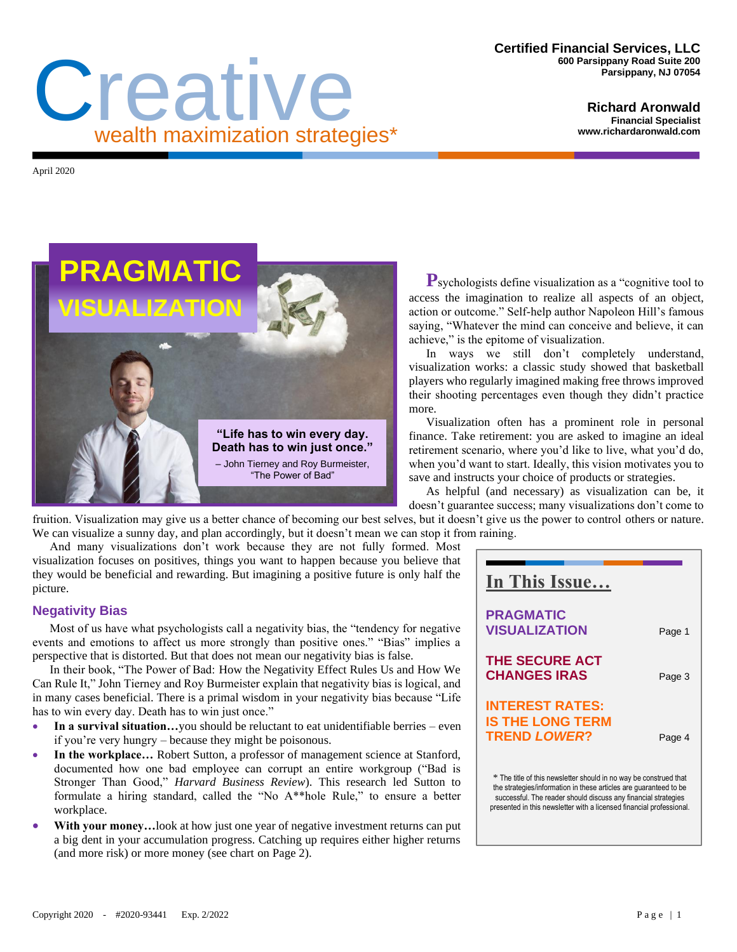#### **Certified Financial Services, LLC 600 Parsippany Road Suite 200 Parsippany, NJ 07054**

#### **Richard Aronwald Financial Specialist www.richardaronwald.com**

April 2020



Creative

wealth maximization strategies\*

**P**sychologists define visualization as a "cognitive tool to access the imagination to realize all aspects of an object, action or outcome." Self-help author Napoleon Hill's famous saying, "Whatever the mind can conceive and believe, it can achieve," is the epitome of visualization.

In ways we still don't completely understand, visualization works: a classic study showed that basketball players who regularly imagined making free throws improved their shooting percentages even though they didn't practice more.

Visualization often has a prominent role in personal finance. Take retirement: you are asked to imagine an ideal retirement scenario, where you'd like to live, what you'd do, when you'd want to start. Ideally, this vision motivates you to save and instructs your choice of products or strategies.

As helpful (and necessary) as visualization can be, it doesn't guarantee success; many visualizations don't come to

fruition. Visualization may give us a better chance of becoming our best selves, but it doesn't give us the power to control others or nature. We can visualize a sunny day, and plan accordingly, but it doesn't mean we can stop it from raining.

And many visualizations don't work because they are not fully formed. Most visualization focuses on positives, things you want to happen because you believe that they would be beneficial and rewarding. But imagining a positive future is only half the picture.

# **Negativity Bias**

Most of us have what psychologists call a negativity bias, the "tendency for negative events and emotions to affect us more strongly than positive ones." "Bias" implies a perspective that is distorted. But that does not mean our negativity bias is false.

In their book, "The Power of Bad: How the Negativity Effect Rules Us and How We Can Rule It," John Tierney and Roy Burmeister explain that negativity bias is logical, and in many cases beneficial. There is a primal wisdom in your negativity bias because "Life has to win every day. Death has to win just once."

- In a survival situation...you should be reluctant to eat unidentifiable berries even if you're very hungry – because they might be poisonous.
- **In the workplace…** Robert Sutton, a professor of management science at Stanford, documented how one bad employee can corrupt an entire workgroup ("Bad is Stronger Than Good," *Harvard Business Review*). This research led Sutton to formulate a hiring standard, called the "No A\*\*hole Rule," to ensure a better workplace.
- With your money... look at how just one year of negative investment returns can put a big dent in your accumulation progress. Catching up requires either higher returns (and more risk) or more money (see chart on Page 2).

| In This Issue                                                                                                                                                                                                                                                                    |        |
|----------------------------------------------------------------------------------------------------------------------------------------------------------------------------------------------------------------------------------------------------------------------------------|--------|
| <b>PRAGMATIC</b><br><b>VISUALIZATION</b>                                                                                                                                                                                                                                         | Page 1 |
| <b>THE SECURE ACT</b><br><b>CHANGES IRAS</b>                                                                                                                                                                                                                                     | Page 3 |
| <b>INTEREST RATES:</b><br><b>IS THE LONG TERM</b><br><b>TREND LOWER?</b>                                                                                                                                                                                                         | Page 4 |
| * The title of this newsletter should in no way be construed that<br>the strategies/information in these articles are guaranteed to be<br>successful. The reader should discuss any financial strategies<br>presented in this newsletter with a licensed financial professional. |        |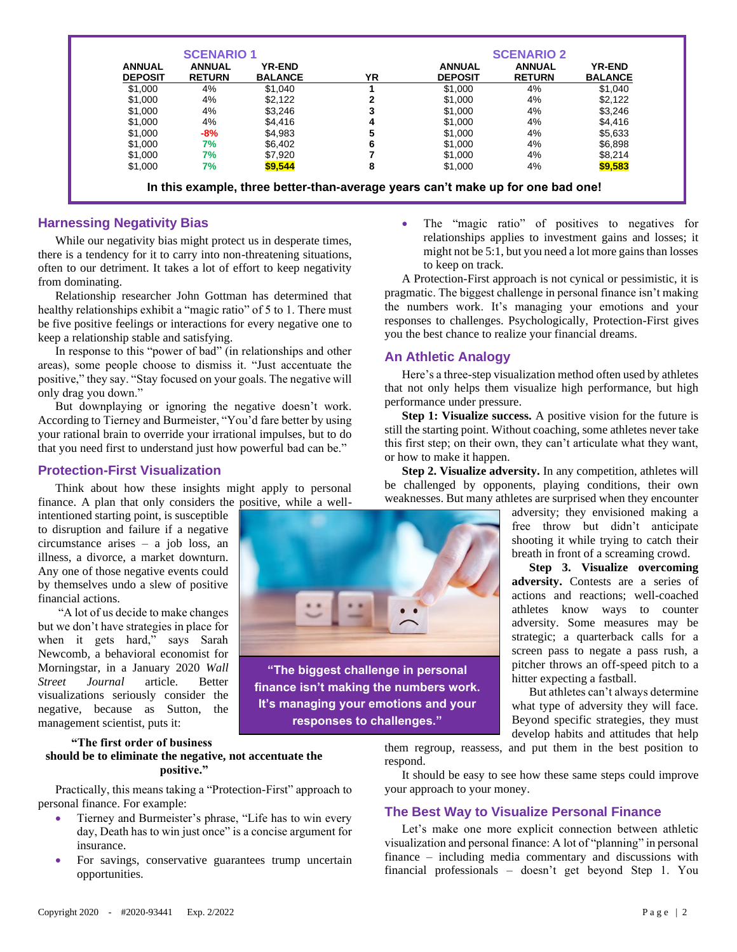| <b>ANNUAL</b><br><b>DEPOSIT</b> | <b>ANNUAL</b><br><b>RETURN</b> | <b>YR-END</b><br><b>BALANCE</b> | ΥR | <b>ANNUAL</b><br><b>DEPOSIT</b> | <b>ANNUAL</b><br><b>RETURN</b> | <b>YR-END</b><br><b>BALANCE</b> |
|---------------------------------|--------------------------------|---------------------------------|----|---------------------------------|--------------------------------|---------------------------------|
|                                 |                                |                                 |    |                                 |                                |                                 |
| \$1.000                         | 4%                             | \$2,122                         | 2  | \$1,000                         | 4%                             | \$2,122                         |
| \$1.000                         | 4%                             | \$3.246                         | 3  | \$1,000                         | 4%                             | \$3.246                         |
| \$1,000                         | 4%                             | \$4,416                         | 4  | \$1,000                         | 4%                             | \$4,416                         |
| \$1,000                         | $-8%$                          | \$4.983                         | 5  | \$1,000                         | 4%                             | \$5,633                         |
| \$1,000                         | 7%                             | \$6,402                         | 6  | \$1,000                         | 4%                             | \$6,898                         |
| \$1,000                         | 7%                             | \$7,920                         |    | \$1,000                         | 4%                             | \$8,214                         |
| \$1,000                         | 7%                             | \$9,544                         | 8  | \$1,000                         | 4%                             | \$9,583                         |

# **Harnessing Negativity Bias**

While our negativity bias might protect us in desperate times, there is a tendency for it to carry into non-threatening situations, often to our detriment. It takes a lot of effort to keep negativity from dominating.

Relationship researcher John Gottman has determined that healthy relationships exhibit a "magic ratio" of 5 to 1. There must be five positive feelings or interactions for every negative one to keep a relationship stable and satisfying.

In response to this "power of bad" (in relationships and other areas), some people choose to dismiss it. "Just accentuate the positive," they say. "Stay focused on your goals. The negative will only drag you down."

But downplaying or ignoring the negative doesn't work. According to Tierney and Burmeister, "You'd fare better by using your rational brain to override your irrational impulses, but to do that you need first to understand just how powerful bad can be."

## **Protection-First Visualization**

Think about how these insights might apply to personal finance. A plan that only considers the positive, while a well-

intentioned starting point, is susceptible to disruption and failure if a negative circumstance arises – a job loss, an illness, a divorce, a market downturn. Any one of those negative events could by themselves undo a slew of positive financial actions.

"A lot of us decide to make changes but we don't have strategies in place for when it gets hard," says Sarah Newcomb, a behavioral economist for Morningstar, in a January 2020 *Wall Street Journal* article. Better visualizations seriously consider the negative, because as Sutton, the management scientist, puts it:

### **"The first order of business should be to eliminate the negative, not accentuate the positive."**

Practically, this means taking a "Protection-First" approach to personal finance. For example:

- Tierney and Burmeister's phrase, "Life has to win every day, Death has to win just once" is a concise argument for insurance.
- For savings, conservative guarantees trump uncertain opportunities.

• The "magic ratio" of positives to negatives for relationships applies to investment gains and losses; it might not be 5:1, but you need a lot more gains than losses to keep on track.

A Protection-First approach is not cynical or pessimistic, it is pragmatic. The biggest challenge in personal finance isn't making the numbers work. It's managing your emotions and your responses to challenges. Psychologically, Protection-First gives you the best chance to realize your financial dreams.

# **An Athletic Analogy**

Here's a three-step visualization method often used by athletes that not only helps them visualize high performance, but high performance under pressure.

**Step 1: Visualize success.** A positive vision for the future is still the starting point. Without coaching, some athletes never take this first step; on their own, they can't articulate what they want, or how to make it happen.

**Step 2. Visualize adversity.** In any competition, athletes will be challenged by opponents, playing conditions, their own weaknesses. But many athletes are surprised when they encounter

> adversity; they envisioned making a free throw but didn't anticipate shooting it while trying to catch their breath in front of a screaming crowd.

> **Step 3. Visualize overcoming adversity.** Contests are a series of actions and reactions; well-coached athletes know ways to counter adversity. Some measures may be strategic; a quarterback calls for a screen pass to negate a pass rush, a pitcher throws an off-speed pitch to a hitter expecting a fastball.

> But athletes can't always determine what type of adversity they will face. Beyond specific strategies, they must develop habits and attitudes that help



**"The biggest challenge in personal finance isn't making the numbers work. It's managing your emotions and your responses to challenges."**

> them regroup, reassess, and put them in the best position to respond.

> It should be easy to see how these same steps could improve your approach to your money.

# **The Best Way to Visualize Personal Finance**

Let's make one more explicit connection between athletic visualization and personal finance: A lot of "planning" in personal finance – including media commentary and discussions with financial professionals – doesn't get beyond Step 1. You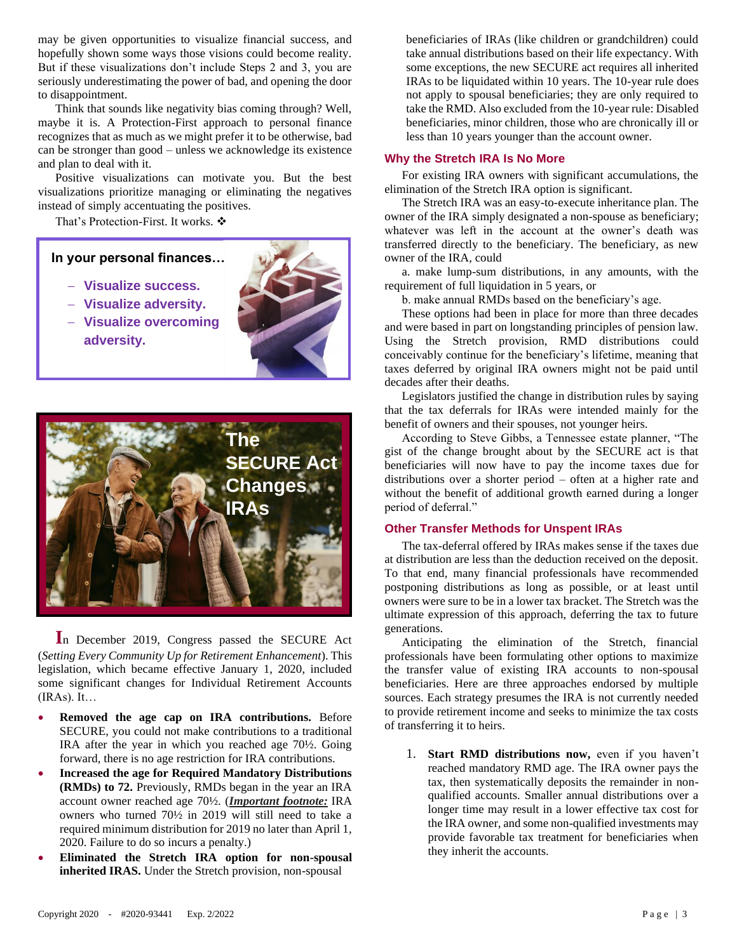may be given opportunities to visualize financial success, and hopefully shown some ways those visions could become reality. But if these visualizations don't include Steps 2 and 3, you are seriously underestimating the power of bad, and opening the door to disappointment.

Think that sounds like negativity bias coming through? Well, maybe it is. A Protection-First approach to personal finance recognizes that as much as we might prefer it to be otherwise, bad can be stronger than good – unless we acknowledge its existence and plan to deal with it.

Positive visualizations can motivate you. But the best visualizations prioritize managing or eliminating the negatives instead of simply accentuating the positives.

That's Protection-First. It works. ❖

**In your personal finances…**

- − **Visualize success.**
- − **Visualize adversity.**
- − **Visualize overcoming adversity.**





l,

**I**n December 2019, Congress passed the SECURE Act (*Setting Every Community Up for Retirement Enhancement*). This legislation, which became effective January 1, 2020, included some significant changes for Individual Retirement Accounts  $(IRAs). It...$ 

- **Removed the age cap on IRA contributions.** Before SECURE, you could not make contributions to a traditional IRA after the year in which you reached age 70½. Going forward, there is no age restriction for IRA contributions.
- **Increased the age for Required Mandatory Distributions (RMDs) to 72.** Previously, RMDs began in the year an IRA account owner reached age 70½. (*Important footnote:* IRA owners who turned 70½ in 2019 will still need to take a required minimum distribution for 2019 no later than April 1, 2020. Failure to do so incurs a penalty.)
- **Eliminated the Stretch IRA option for non-spousal inherited IRAS.** Under the Stretch provision, non-spousal

beneficiaries of IRAs (like children or grandchildren) could take annual distributions based on their life expectancy. With some exceptions, the new SECURE act requires all inherited IRAs to be liquidated within 10 years. The 10-year rule does not apply to spousal beneficiaries; they are only required to take the RMD. Also excluded from the 10-year rule: Disabled beneficiaries, minor children, those who are chronically ill or less than 10 years younger than the account owner.

## **Why the Stretch IRA Is No More**

For existing IRA owners with significant accumulations, the elimination of the Stretch IRA option is significant.

The Stretch IRA was an easy-to-execute inheritance plan. The owner of the IRA simply designated a non-spouse as beneficiary; whatever was left in the account at the owner's death was transferred directly to the beneficiary. The beneficiary, as new owner of the IRA, could

a. make lump-sum distributions, in any amounts, with the requirement of full liquidation in 5 years, or

b. make annual RMDs based on the beneficiary's age.

These options had been in place for more than three decades and were based in part on longstanding principles of pension law. Using the Stretch provision, RMD distributions could conceivably continue for the beneficiary's lifetime, meaning that taxes deferred by original IRA owners might not be paid until decades after their deaths.

Legislators justified the change in distribution rules by saying that the tax deferrals for IRAs were intended mainly for the benefit of owners and their spouses, not younger heirs.

According to Steve Gibbs, a Tennessee estate planner, "The gist of the change brought about by the SECURE act is that beneficiaries will now have to pay the income taxes due for distributions over a shorter period – often at a higher rate and without the benefit of additional growth earned during a longer period of deferral."

## **Other Transfer Methods for Unspent IRAs**

The tax-deferral offered by IRAs makes sense if the taxes due at distribution are less than the deduction received on the deposit. To that end, many financial professionals have recommended postponing distributions as long as possible, or at least until owners were sure to be in a lower tax bracket. The Stretch was the ultimate expression of this approach, deferring the tax to future generations.

Anticipating the elimination of the Stretch, financial professionals have been formulating other options to maximize the transfer value of existing IRA accounts to non-spousal beneficiaries. Here are three approaches endorsed by multiple sources. Each strategy presumes the IRA is not currently needed to provide retirement income and seeks to minimize the tax costs of transferring it to heirs.

1. **Start RMD distributions now,** even if you haven't reached mandatory RMD age. The IRA owner pays the tax, then systematically deposits the remainder in nonqualified accounts. Smaller annual distributions over a longer time may result in a lower effective tax cost for the IRA owner, and some non-qualified investments may provide favorable tax treatment for beneficiaries when they inherit the accounts.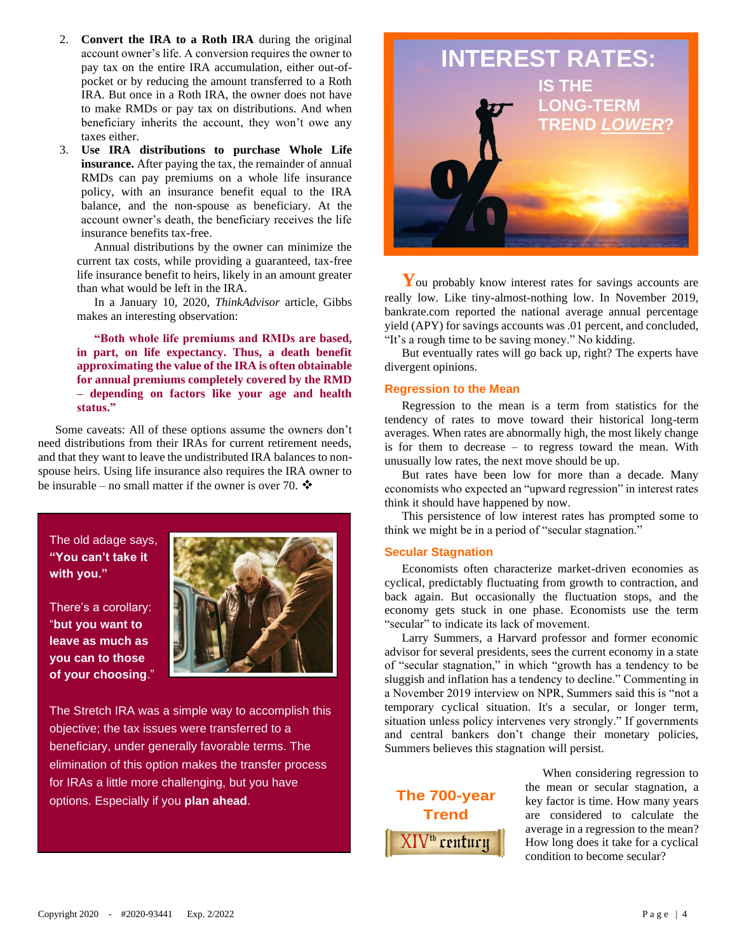- 2. **Convert the IRA to a Roth IRA** during the original account owner's life. A conversion requires the owner to pay tax on the entire IRA accumulation, either out-ofpocket or by reducing the amount transferred to a Roth IRA. But once in a Roth IRA, the owner does not have to make RMDs or pay tax on distributions. And when beneficiary inherits the account, they won't owe any taxes either.
- 3. **Use IRA distributions to purchase Whole Life insurance.** After paying the tax, the remainder of annual RMDs can pay premiums on a whole life insurance policy, with an insurance benefit equal to the IRA balance, and the non-spouse as beneficiary. At the account owner's death, the beneficiary receives the life insurance benefits tax-free.

Annual distributions by the owner can minimize the current tax costs, while providing a guaranteed, tax-free life insurance benefit to heirs, likely in an amount greater than what would be left in the IRA.

In a January 10, 2020, *ThinkAdvisor* article, Gibbs makes an interesting observation:

**"Both whole life premiums and RMDs are based, in part, on life expectancy. Thus, a death benefit approximating the value of the IRA is often obtainable for annual premiums completely covered by the RMD – depending on factors like your age and health status."** 

Some caveats: All of these options assume the owners don't need distributions from their IRAs for current retirement needs, and that they want to leave the undistributed IRA balances to nonspouse heirs. Using life insurance also requires the IRA owner to be insurable – no small matter if the owner is over 70.  $\clubsuit$ 

The old adage says, **"You can't take it with you."**

There's a corollary: "**but you want to leave as much as you can to those of your choosing**."



The Stretch IRA was a simple way to accomplish this objective; the tax issues were transferred to a beneficiary, under generally favorable terms. The elimination of this option makes the transfer process for IRAs a little more challenging, but you have options. Especially if you **plan ahead**.



**Y**ou probably know interest rates for savings accounts are really low. Like tiny-almost-nothing low. In November 2019, bankrate.com reported the national average annual percentage yield (APY) for savings accounts was .01 percent, and concluded, "It's a rough time to be saving money." No kidding.

But eventually rates will go back up, right? The experts have divergent opinions.

#### **Regression to the Mean**

Regression to the mean is a term from statistics for the tendency of rates to move toward their historical long-term averages. When rates are abnormally high, the most likely change is for them to decrease – to regress toward the mean. With unusually low rates, the next move should be up.

But rates have been low for more than a decade. Many economists who expected an "upward regression" in interest rates think it should have happened by now.

This persistence of low interest rates has prompted some to think we might be in a period of "secular stagnation."

#### **Secular Stagnation**

Economists often characterize market-driven economies as cyclical, predictably fluctuating from growth to contraction, and back again. But occasionally the fluctuation stops, and the economy gets stuck in one phase. Economists use the term "secular" to indicate its lack of movement.

Larry Summers, a Harvard professor and former economic advisor for several presidents, sees the current economy in a state of "secular stagnation," in which "growth has a tendency to be sluggish and inflation has a tendency to decline." Commenting in a November 2019 interview on NPR, Summers said this is "not a temporary cyclical situation. It's a secular, or longer term, situation unless policy intervenes very strongly." If governments and central bankers don't change their monetary policies, Summers believes this stagnation will persist.



When considering regression to the mean or secular stagnation, a key factor is time. How many years are considered to calculate the average in a regression to the mean? How long does it take for a cyclical condition to become secular?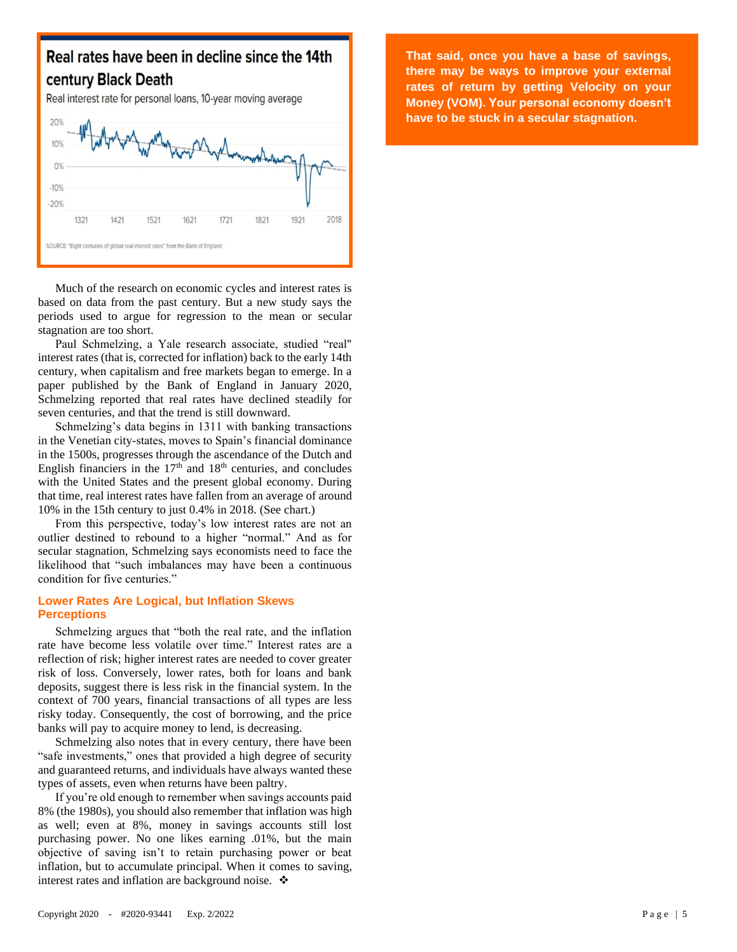

Much of the research on economic cycles and interest rates is based on data from the past century. But a new study says the periods used to argue for regression to the mean or secular stagnation are too short.

Paul Schmelzing, a Yale research associate, studied "real" interest rates (that is, corrected for inflation) back to the early 14th century, when capitalism and free markets began to emerge. In a paper published by the Bank of England in January 2020, Schmelzing reported that real rates have declined steadily for seven centuries, and that the trend is still downward.

Schmelzing's data begins in 1311 with banking transactions in the Venetian city-states, moves to Spain's financial dominance in the 1500s, progresses through the ascendance of the Dutch and English financiers in the  $17<sup>th</sup>$  and  $18<sup>th</sup>$  centuries, and concludes with the United States and the present global economy. During that time, real interest rates have fallen from an average of around 10% in the 15th century to just 0.4% in 2018. (See chart.)

From this perspective, today's low interest rates are not an outlier destined to rebound to a higher "normal." And as for secular stagnation, Schmelzing says economists need to face the likelihood that "such imbalances may have been a continuous condition for five centuries."

## **Lower Rates Are Logical, but Inflation Skews Perceptions**

Schmelzing argues that "both the real rate, and the inflation rate have become less volatile over time." Interest rates are a reflection of risk; higher interest rates are needed to cover greater risk of loss. Conversely, lower rates, both for loans and bank deposits, suggest there is less risk in the financial system. In the context of 700 years, financial transactions of all types are less risky today. Consequently, the cost of borrowing, and the price banks will pay to acquire money to lend, is decreasing.

Schmelzing also notes that in every century, there have been "safe investments," ones that provided a high degree of security and guaranteed returns, and individuals have always wanted these types of assets, even when returns have been paltry.

If you're old enough to remember when savings accounts paid 8% (the 1980s), you should also remember that inflation was high as well; even at 8%, money in savings accounts still lost purchasing power. No one likes earning .01%, but the main objective of saving isn't to retain purchasing power or beat inflation, but to accumulate principal. When it comes to saving, interest rates and inflation are background noise. ❖

**That said, once you have a base of savings, there may be ways to improve your external rates of return by getting Velocity on your Money (VOM). Your personal economy doesn't have to be stuck in a secular stagnation.**